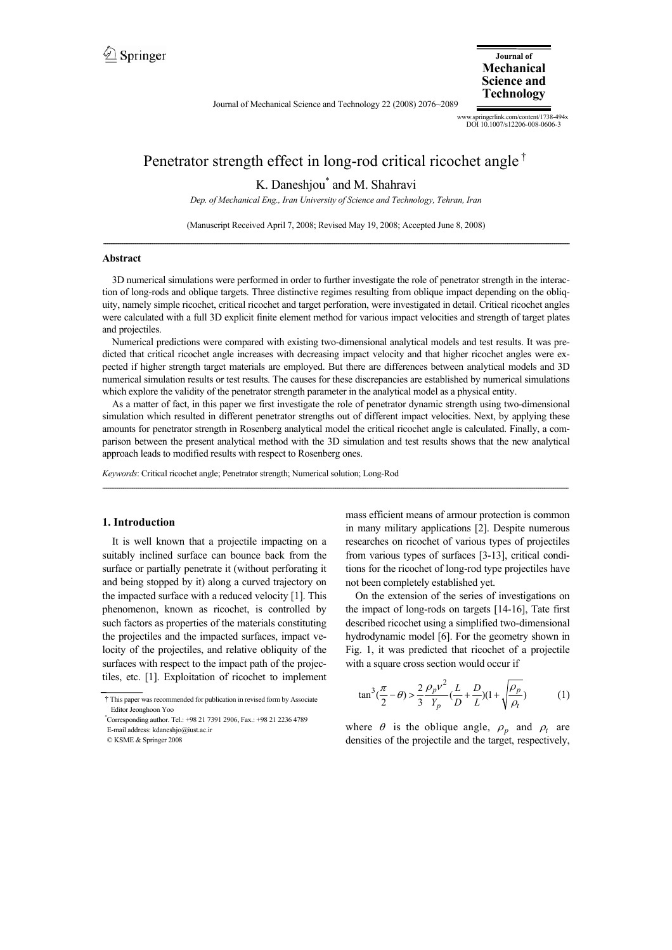Journal of Mechanical Science and Technology 22 (2008) 2076~2089

**Journal of Mechanical Science and Technology**

www.springerlink.com/content/1738-494x DOI 10.1007/s12206-008-0606-3

# Penetrator strength effect in long-rod critical ricochet angle†

K. Daneshjou\* and M. Shahravi

*Dep. of Mechanical Eng., Iran University of Science and Technology, Tehran, Iran* 

(Manuscript Received April 7, 2008; Revised May 19, 2008; Accepted June 8, 2008) --------------------------------------------------------------------------------------------------------------------------------------------------------------------------------------------------------------------------------------------------------

#### **Abstract**

3D numerical simulations were performed in order to further investigate the role of penetrator strength in the interaction of long-rods and oblique targets. Three distinctive regimes resulting from oblique impact depending on the obliquity, namely simple ricochet, critical ricochet and target perforation, were investigated in detail. Critical ricochet angles were calculated with a full 3D explicit finite element method for various impact velocities and strength of target plates and projectiles.

Numerical predictions were compared with existing two-dimensional analytical models and test results. It was predicted that critical ricochet angle increases with decreasing impact velocity and that higher ricochet angles were expected if higher strength target materials are employed. But there are differences between analytical models and 3D numerical simulation results or test results. The causes for these discrepancies are established by numerical simulations which explore the validity of the penetrator strength parameter in the analytical model as a physical entity.

As a matter of fact, in this paper we first investigate the role of penetrator dynamic strength using two-dimensional simulation which resulted in different penetrator strengths out of different impact velocities. Next, by applying these amounts for penetrator strength in Rosenberg analytical model the critical ricochet angle is calculated. Finally, a comparison between the present analytical method with the 3D simulation and test results shows that the new analytical approach leads to modified results with respect to Rosenberg ones.

*--------------------------------------------------------------------------------------------------------------------------------------------------------------------------------------------------------------------------------------------------------*

*Keywords*: Critical ricochet angle; Penetrator strength; Numerical solution; Long-Rod

#### **1. Introduction**

It is well known that a projectile impacting on a suitably inclined surface can bounce back from the surface or partially penetrate it (without perforating it and being stopped by it) along a curved trajectory on the impacted surface with a reduced velocity [1]. This phenomenon, known as ricochet, is controlled by such factors as properties of the materials constituting the projectiles and the impacted surfaces, impact velocity of the projectiles, and relative obliquity of the surfaces with respect to the impact path of the projectiles, etc. [1]. Exploitation of ricochet to implement mass efficient means of armour protection is common in many military applications [2]. Despite numerous researches on ricochet of various types of projectiles from various types of surfaces [3-13], critical conditions for the ricochet of long-rod type projectiles have not been completely established yet.

On the extension of the series of investigations on the impact of long-rods on targets [14-16], Tate first described ricochet using a simplified two-dimensional hydrodynamic model [6]. For the geometry shown in Fig. 1, it was predicted that ricochet of a projectile with a square cross section would occur if

$$
\tan^3(\frac{\pi}{2} - \theta) > \frac{2}{3} \frac{\rho_p v^2}{Y_p} (\frac{L}{D} + \frac{D}{L})(1 + \sqrt{\frac{\rho_p}{\rho_t}})
$$
(1)

where  $\theta$  is the oblique angle,  $\rho_n$  and  $\rho_t$  are densities of the projectile and the target, respectively,

<sup>†</sup>This paper was recommended for publication in revised form by Associate Editor Jeonghoon Yoo

<sup>\*</sup> Corresponding author. Tel.: +98 21 7391 2906, Fax.: +98 21 2236 4789

E-mail address: kdaneshjo@iust.ac.ir

<sup>©</sup> KSME & Springer 2008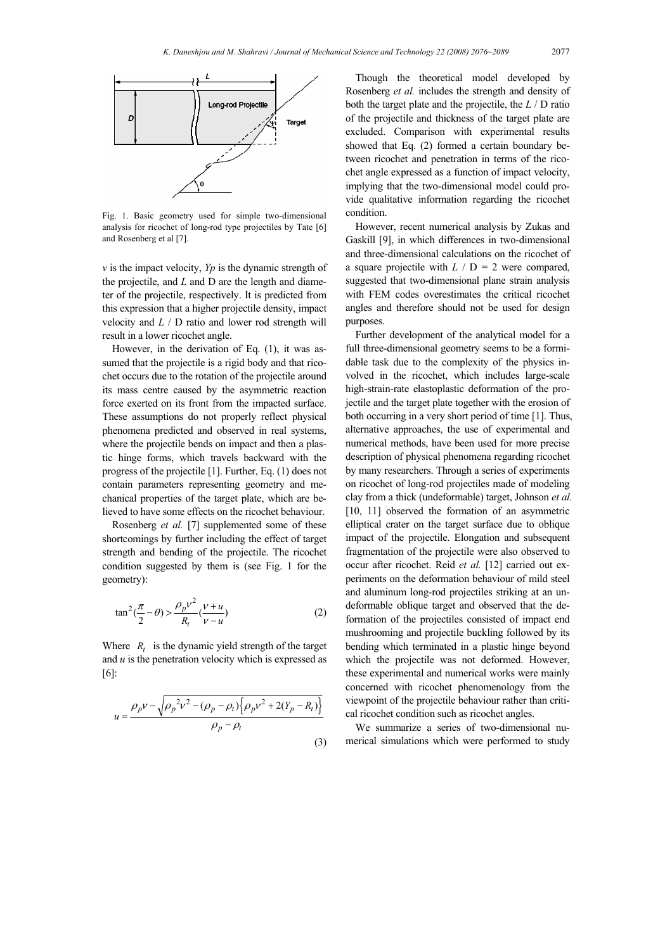

Fig. 1. Basic geometry used for simple two-dimensional analysis for ricochet of long-rod type projectiles by Tate [6] and Rosenberg et al [7].

*v* is the impact velocity, *Yp* is the dynamic strength of the projectile, and *L* and D are the length and diameter of the projectile, respectively. It is predicted from this expression that a higher projectile density, impact velocity and *L* / D ratio and lower rod strength will result in a lower ricochet angle.

However, in the derivation of Eq. (1), it was assumed that the projectile is a rigid body and that ricochet occurs due to the rotation of the projectile around its mass centre caused by the asymmetric reaction force exerted on its front from the impacted surface. These assumptions do not properly reflect physical phenomena predicted and observed in real systems, where the projectile bends on impact and then a plastic hinge forms, which travels backward with the progress of the projectile [1]. Further, Eq. (1) does not contain parameters representing geometry and mechanical properties of the target plate, which are believed to have some effects on the ricochet behaviour.

Rosenberg *et al.* [7] supplemented some of these shortcomings by further including the effect of target strength and bending of the projectile. The ricochet condition suggested by them is (see Fig. 1 for the geometry):

$$
\tan^2(\frac{\pi}{2} - \theta) > \frac{\rho_p v^2}{R_t} (\frac{v+u}{v-u})
$$
 (2)

Where  $R_t$  is the dynamic yield strength of the target and *u* is the penetration velocity which is expressed as [6]:

$$
u = \frac{\rho_p v - \sqrt{\rho_p^2 v^2 - (\rho_p - \rho_t) \left\{ \rho_p v^2 + 2(Y_p - R_t) \right\}}}{\rho_p - \rho_t}
$$
\n(3)

Though the theoretical model developed by Rosenberg *et al.* includes the strength and density of both the target plate and the projectile, the *L* / D ratio of the projectile and thickness of the target plate are excluded. Comparison with experimental results showed that Eq. (2) formed a certain boundary between ricochet and penetration in terms of the ricochet angle expressed as a function of impact velocity, implying that the two-dimensional model could provide qualitative information regarding the ricochet condition.

However, recent numerical analysis by Zukas and Gaskill [9], in which differences in two-dimensional and three-dimensional calculations on the ricochet of a square projectile with  $L / D = 2$  were compared, suggested that two-dimensional plane strain analysis with FEM codes overestimates the critical ricochet angles and therefore should not be used for design purposes.

Further development of the analytical model for a full three-dimensional geometry seems to be a formidable task due to the complexity of the physics involved in the ricochet, which includes large-scale high-strain-rate elastoplastic deformation of the projectile and the target plate together with the erosion of both occurring in a very short period of time [1]. Thus, alternative approaches, the use of experimental and numerical methods, have been used for more precise description of physical phenomena regarding ricochet by many researchers. Through a series of experiments on ricochet of long-rod projectiles made of modeling clay from a thick (undeformable) target, Johnson *et al.*  [10, 11] observed the formation of an asymmetric elliptical crater on the target surface due to oblique impact of the projectile. Elongation and subsequent fragmentation of the projectile were also observed to occur after ricochet. Reid *et al.* [12] carried out experiments on the deformation behaviour of mild steel and aluminum long-rod projectiles striking at an undeformable oblique target and observed that the deformation of the projectiles consisted of impact end mushrooming and projectile buckling followed by its bending which terminated in a plastic hinge beyond which the projectile was not deformed. However, these experimental and numerical works were mainly concerned with ricochet phenomenology from the viewpoint of the projectile behaviour rather than critical ricochet condition such as ricochet angles.

We summarize a series of two-dimensional numerical simulations which were performed to study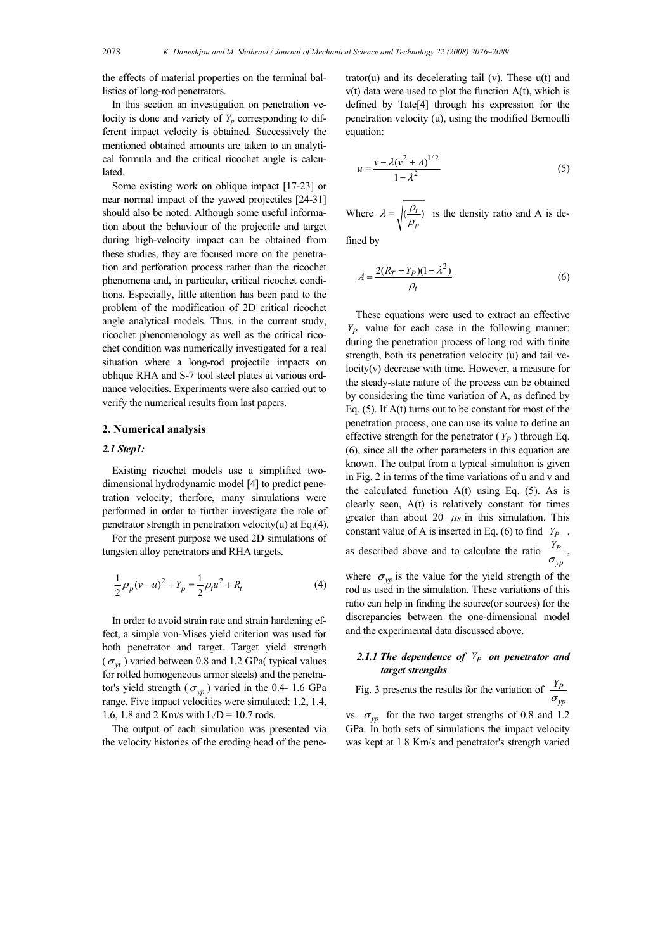the effects of material properties on the terminal ballistics of long-rod penetrators.

In this section an investigation on penetration velocity is done and variety of  $Y_p$  corresponding to different impact velocity is obtained. Successively the mentioned obtained amounts are taken to an analytical formula and the critical ricochet angle is calculated.

Some existing work on oblique impact [17-23] or near normal impact of the yawed projectiles [24-31] should also be noted. Although some useful information about the behaviour of the projectile and target during high-velocity impact can be obtained from these studies, they are focused more on the penetration and perforation process rather than the ricochet phenomena and, in particular, critical ricochet conditions. Especially, little attention has been paid to the problem of the modification of 2D critical ricochet angle analytical models. Thus, in the current study, ricochet phenomenology as well as the critical ricochet condition was numerically investigated for a real situation where a long-rod projectile impacts on oblique RHA and S-7 tool steel plates at various ordnance velocities. Experiments were also carried out to verify the numerical results from last papers.

#### **2. Numerical analysis**

#### *2.1 Step1:*

Existing ricochet models use a simplified twodimensional hydrodynamic model [4] to predict penetration velocity; therfore, many simulations were performed in order to further investigate the role of penetrator strength in penetration velocity(u) at Eq.(4).

For the present purpose we used 2D simulations of tungsten alloy penetrators and RHA targets.

$$
\frac{1}{2}\rho_p(v-u)^2 + Y_p = \frac{1}{2}\rho_t u^2 + R_t
$$
\n(4)

In order to avoid strain rate and strain hardening effect, a simple von-Mises yield criterion was used for both penetrator and target. Target yield strength  $(\sigma_{vt})$  varied between 0.8 and 1.2 GPa (typical values for rolled homogeneous armor steels) and the penetrator's yield strength ( $\sigma_{yp}$ ) varied in the 0.4- 1.6 GPa range. Five impact velocities were simulated: 1.2, 1.4, 1.6, 1.8 and 2 Km/s with  $L/D = 10.7$  rods.

The output of each simulation was presented via the velocity histories of the eroding head of the penetrator(u) and its decelerating tail (v). These  $u(t)$  and  $v(t)$  data were used to plot the function  $A(t)$ , which is defined by Tate[4] through his expression for the penetration velocity (u), using the modified Bernoulli equation:

$$
u = \frac{v - \lambda (v^2 + A)^{1/2}}{1 - \lambda^2}
$$
 (5)

Where  $\lambda = \sqrt{\frac{\rho_t}{\rho}}$ *p*  $\lambda = \sqrt{\frac{\rho_t}{\rho_n}}$  is the density ratio and A is de-

fined by

$$
A = \frac{2(R_T - Y_P)(1 - \lambda^2)}{\rho_t}
$$
 (6)

These equations were used to extract an effective *YP* value for each case in the following manner: during the penetration process of long rod with finite strength, both its penetration velocity (u) and tail velocity(v) decrease with time. However, a measure for the steady-state nature of the process can be obtained by considering the time variation of A, as defined by Eq. (5). If A(t) turns out to be constant for most of the penetration process, one can use its value to define an effective strength for the penetrator  $(Y_P)$  through Eq. (6), since all the other parameters in this equation are known. The output from a typical simulation is given in Fig. 2 in terms of the time variations of u and v and the calculated function  $A(t)$  using Eq. (5). As is clearly seen, A(t) is relatively constant for times greater than about 20  $\mu s$  in this simulation. This constant value of A is inserted in Eq. (6) to find  $Y_P$ , as described above and to calculate the ratio  $\frac{Y_P}{\sigma_{\text{cm}}}$ ,  $\sigma_{yp}$ 

where  $\sigma_{vp}$  is the value for the yield strength of the rod as used in the simulation. These variations of this ratio can help in finding the source(or sources) for the discrepancies between the one-dimensional model and the experimental data discussed above.

# 2.1.1 The dependence of  $Y_P$  on penetrator and *target strengths*

Fig. 3 presents the results for the variation of 
$$
\frac{Y_P}{\sigma_{yp}}
$$

vs.  $\sigma_{vp}$  for the two target strengths of 0.8 and 1.2 GPa. In both sets of simulations the impact velocity was kept at 1.8 Km/s and penetrator's strength varied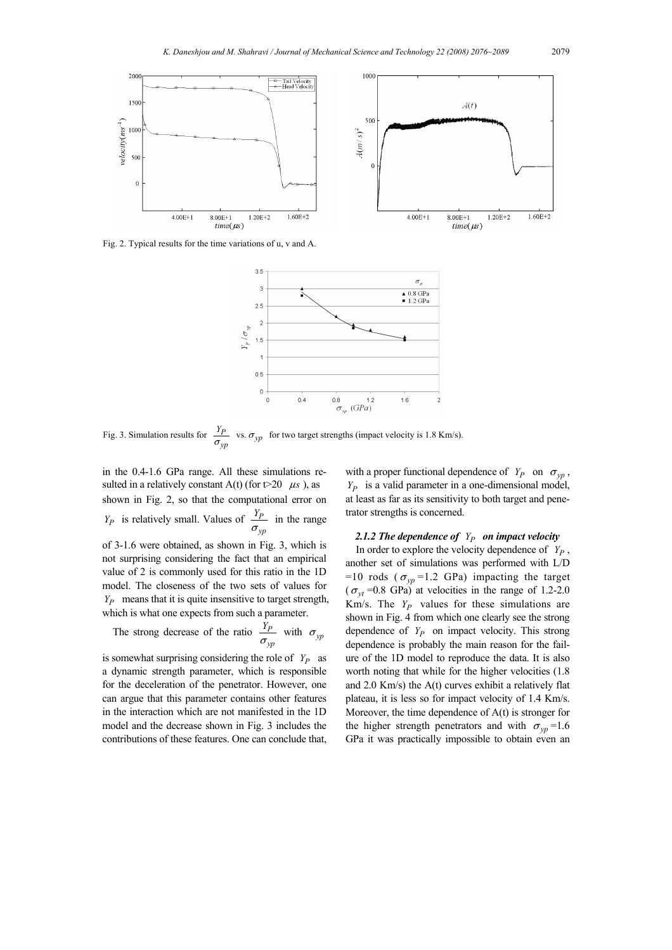

Fig. 2. Typical results for the time variations of u, v and A.



Fig. 3. Simulation results for  $\frac{I_p}{I_p}$ *yp*  $\frac{Y_P}{\sigma_{\text{vm}}}$  vs.  $\sigma_{yp}$  for two target strengths (impact velocity is 1.8 Km/s).

in the 0.4-1.6 GPa range. All these simulations resulted in a relatively constant A(t) (for  $t > 20$   $\mu s$ ), as shown in Fig. 2, so that the computational error on  $Y_P$  is relatively small. Values of  $\frac{P_P}{\sigma_{yp}}$ *Y*  $\frac{P}{\sigma_{\text{cm}}}$  in the range of 3-1.6 were obtained, as shown in Fig. 3, which is not surprising considering the fact that an empirical value of 2 is commonly used for this ratio in the 1D model. The closeness of the two sets of values for *Y<sub>p</sub>* means that it is quite insensitive to target strength, which is what one expects from such a parameter.

The strong decrease of the ratio 
$$
\frac{Y_p}{\sigma_{yp}}
$$
 with  $\sigma_{yp}$ 

is somewhat surprising considering the role of  $Y_p$  as a dynamic strength parameter, which is responsible for the deceleration of the penetrator. However, one can argue that this parameter contains other features in the interaction which are not manifested in the 1D model and the decrease shown in Fig. 3 includes the contributions of these features. One can conclude that, with a proper functional dependence of  $Y_P$  on  $\sigma_{vp}$ , *YP* is a valid parameter in a one-dimensional model, at least as far as its sensitivity to both target and penetrator strengths is concerned.

# 2.1.2 The dependence of  $Y_P$  on impact velocity

In order to explore the velocity dependence of  $Y_P$ , another set of simulations was performed with L/D =10 rods ( $\sigma_{vp}$ =1.2 GPa) impacting the target  $(\sigma_{vt}$  =0.8 GPa) at velocities in the range of 1.2-2.0 Km/s. The  $Y_P$  values for these simulations are shown in Fig. 4 from which one clearly see the strong dependence of  $Y_P$  on impact velocity. This strong dependence is probably the main reason for the failure of the 1D model to reproduce the data. It is also worth noting that while for the higher velocities (1.8 and 2.0 Km/s) the A(t) curves exhibit a relatively flat plateau, it is less so for impact velocity of 1.4 Km/s. Moreover, the time dependence of A(t) is stronger for the higher strength penetrators and with  $\sigma_{vn} = 1.6$ GPa it was practically impossible to obtain even an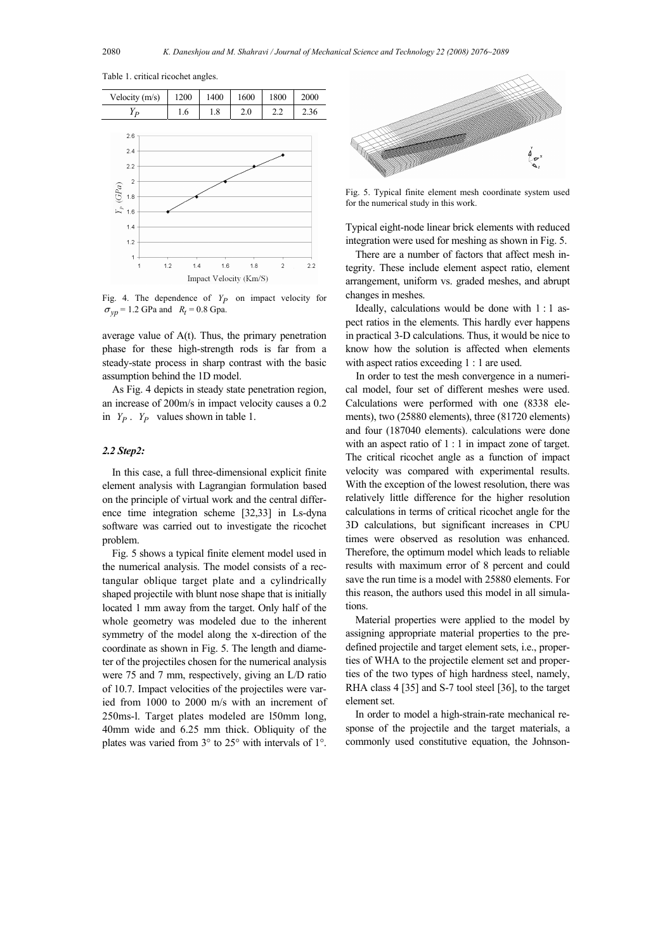| $Y_P$                                    | 1.6        | 1.8 | 2.0 | 2.2            | 2.36 |
|------------------------------------------|------------|-----|-----|----------------|------|
| 2.6                                      |            |     |     |                |      |
| 2.4                                      |            |     |     |                |      |
| 2.2                                      |            |     |     |                |      |
| $\overline{2}$                           |            |     |     |                |      |
| $Y_{\rm p}$ (GPa)<br>1.8 $\frac{2}{1.6}$ |            |     |     |                |      |
|                                          |            |     |     |                |      |
| 1.4                                      |            |     |     |                |      |
| 1.2<br>1                                 |            |     |     |                |      |
| 1                                        | 1.2<br>1.4 | 1.6 | 1.8 | $\overline{c}$ | 2.2  |
| Impact Velocity (Km/S)                   |            |     |     |                |      |

Velocity (m/s) 1200 1400 1600 1800 2000

Table 1. critical ricochet angles.

Fig. 4. The dependence of  $Y_P$  on impact velocity for  $\sigma_{vp}$  = 1.2 GPa and *R<sub>t</sub>* = 0.8 Gpa.

average value of A(t). Thus, the primary penetration phase for these high-strength rods is far from a steady-state process in sharp contrast with the basic assumption behind the 1D model.

As Fig. 4 depicts in steady state penetration region, an increase of 200m/s in impact velocity causes a 0.2 in *YP* . *YP* values shown in table 1.

# *2.2 Step2:*

In this case, a full three-dimensional explicit finite element analysis with Lagrangian formulation based on the principle of virtual work and the central difference time integration scheme [32,33] in Ls-dyna software was carried out to investigate the ricochet problem.

Fig. 5 shows a typical finite element model used in the numerical analysis. The model consists of a rectangular oblique target plate and a cylindrically shaped projectile with blunt nose shape that is initially located 1 mm away from the target. Only half of the whole geometry was modeled due to the inherent symmetry of the model along the x-direction of the coordinate as shown in Fig. 5. The length and diameter of the projectiles chosen for the numerical analysis were 75 and 7 mm, respectively, giving an L/D ratio of 10.7. Impact velocities of the projectiles were varied from 1000 to 2000 m/s with an increment of 250ms-l. Target plates modeled are l50mm long, 40mm wide and 6.25 mm thick. Obliquity of the plates was varied from 3° to 25° with intervals of 1°.



Fig. 5. Typical finite element mesh coordinate system used for the numerical study in this work.

Typical eight-node linear brick elements with reduced integration were used for meshing as shown in Fig. 5.

There are a number of factors that affect mesh integrity. These include element aspect ratio, element arrangement, uniform vs. graded meshes, and abrupt changes in meshes.

Ideally, calculations would be done with 1 : 1 aspect ratios in the elements. This hardly ever happens in practical 3-D calculations. Thus, it would be nice to know how the solution is affected when elements with aspect ratios exceeding 1 : 1 are used.

In order to test the mesh convergence in a numerical model, four set of different meshes were used. Calculations were performed with one (8338 elements), two (25880 elements), three (81720 elements) and four (187040 elements). calculations were done with an aspect ratio of 1 : 1 in impact zone of target. The critical ricochet angle as a function of impact velocity was compared with experimental results. With the exception of the lowest resolution, there was relatively little difference for the higher resolution calculations in terms of critical ricochet angle for the 3D calculations, but significant increases in CPU times were observed as resolution was enhanced. Therefore, the optimum model which leads to reliable results with maximum error of 8 percent and could save the run time is a model with 25880 elements. For this reason, the authors used this model in all simulations.

Material properties were applied to the model by assigning appropriate material properties to the predefined projectile and target element sets, i.e., properties of WHA to the projectile element set and properties of the two types of high hardness steel, namely, RHA class 4 [35] and S-7 tool steel [36], to the target element set.

In order to model a high-strain-rate mechanical response of the projectile and the target materials, a commonly used constitutive equation, the Johnson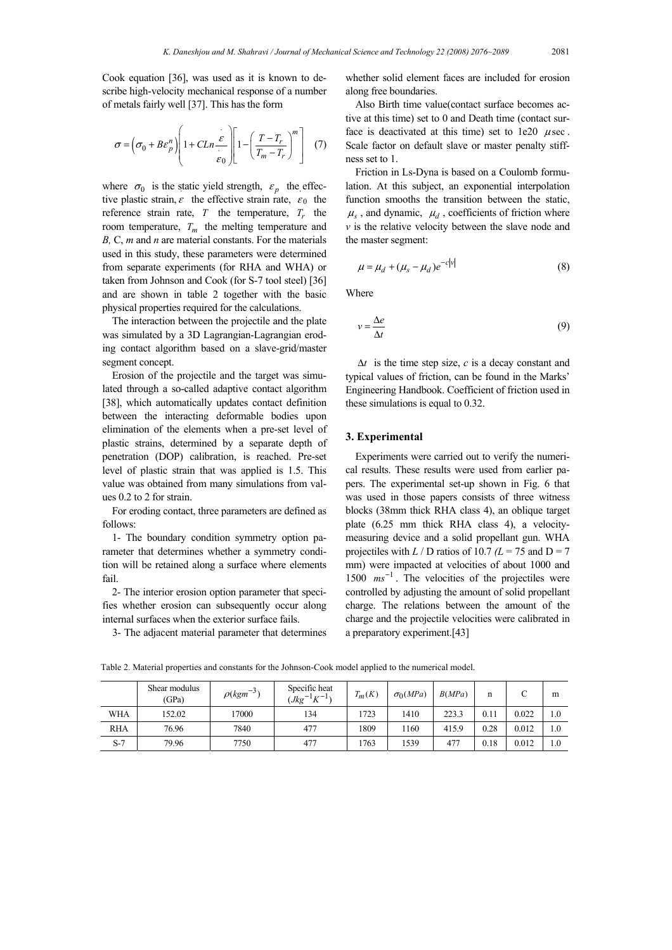Cook equation [36], was used as it is known to describe high-velocity mechanical response of a number of metals fairly well [37]. This has the form

$$
\sigma = \left(\sigma_0 + B\varepsilon_p^n\right) \left[1 + CLn \frac{\varepsilon}{\varepsilon_0}\right] \left[1 - \left(\frac{T - T_r}{T_m - T_r}\right)^m\right] \tag{7}
$$

where  $\sigma_0$  is the static yield strength,  $\varepsilon_p$  the effective plastic strain,  $\varepsilon$  the effective strain rate,  $\varepsilon_0$  the reference strain rate,  $T$  the temperature,  $T_r$  the room temperature,  $T_m$  the melting temperature and *B,* C, *m* and *n* are material constants. For the materials used in this study, these parameters were determined from separate experiments (for RHA and WHA) or taken from Johnson and Cook (for S-7 tool steel) [36] and are shown in table 2 together with the basic physical properties required for the calculations.

The interaction between the projectile and the plate was simulated by a 3D Lagrangian-Lagrangian eroding contact algorithm based on a slave-grid/master segment concept.

Erosion of the projectile and the target was simulated through a so-called adaptive contact algorithm [38], which automatically updates contact definition between the interacting deformable bodies upon elimination of the elements when a pre-set level of plastic strains, determined by a separate depth of penetration (DOP) calibration, is reached. Pre-set level of plastic strain that was applied is 1.5. This value was obtained from many simulations from values 0.2 to 2 for strain.

For eroding contact, three parameters are defined as follows:

1- The boundary condition symmetry option parameter that determines whether a symmetry condition will be retained along a surface where elements fail.

2- The interior erosion option parameter that specifies whether erosion can subsequently occur along internal surfaces when the exterior surface fails.

3- The adjacent material parameter that determines

whether solid element faces are included for erosion along free boundaries.

Also Birth time value(contact surface becomes active at this time) set to 0 and Death time (contact surface is deactivated at this time) set to  $1e20$   $\mu$  sec. Scale factor on default slave or master penalty stiffness set to 1.

Friction in Ls-Dyna is based on a Coulomb formulation. At this subject, an exponential interpolation function smooths the transition between the static,  $\mu_s$ , and dynamic,  $\mu_d$ , coefficients of friction where *v* is the relative velocity between the slave node and the master segment:

$$
\mu = \mu_d + (\mu_s - \mu_d)e^{-c|v|}
$$
 (8)

Where

$$
v = \frac{\Delta e}{\Delta t} \tag{9}
$$

∆*t* is the time step size, *c* is a decay constant and typical values of friction, can be found in the Marks' Engineering Handbook. Coefficient of friction used in these simulations is equal to 0.32.

#### **3. Experimental**

Experiments were carried out to verify the numerical results. These results were used from earlier papers. The experimental set-up shown in Fig. 6 that was used in those papers consists of three witness blocks (38mm thick RHA class 4), an oblique target plate (6.25 mm thick RHA class 4), a velocitymeasuring device and a solid propellant gun. WHA projectiles with  $L / D$  ratios of 10.7  $(L = 75$  and  $D = 7$ mm) were impacted at velocities of about 1000 and 1500  $ms^{-1}$ . The velocities of the projectiles were controlled by adjusting the amount of solid propellant charge. The relations between the amount of the charge and the projectile velocities were calibrated in a preparatory experiment.[43]

Table 2. Material properties and constants for the Johnson-Cook model applied to the numerical model.

|            | Shear modulus<br>(GPa) | $\rho(kgm^{-3})$ | Specific heat<br>$Jkg^{-1}K^{-1}$ | $T_m(K)$ | $\sigma_0(MPa)$ | B(MPa) | n    |       | m   |
|------------|------------------------|------------------|-----------------------------------|----------|-----------------|--------|------|-------|-----|
| <b>WHA</b> | 152.02                 | 17000            | 134                               | 1723     | 1410            | 223.3  | 0.11 | 0.022 | 1.0 |
| <b>RHA</b> | 76.96                  | 7840             | 477                               | 1809     | 160             | 415.9  | 0.28 | 0.012 | 1.0 |
| $S-7$      | 79.96                  | 7750             | 477                               | 1763     | 1539            | 477    | 0.18 | 0.012 | 1.0 |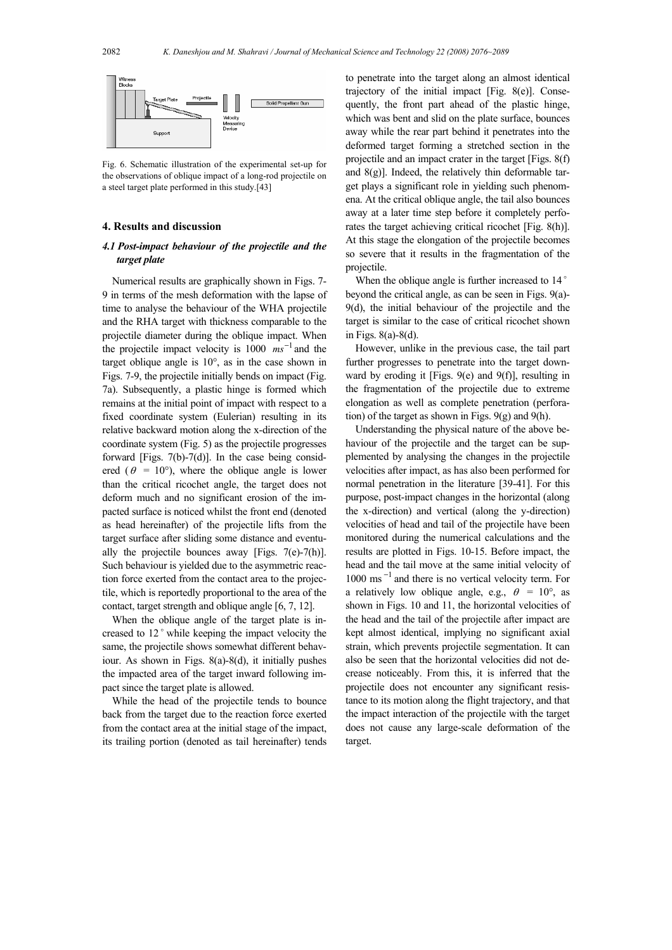

Fig. 6. Schematic illustration of the experimental set-up for the observations of oblique impact of a long-rod projectile on a steel target plate performed in this study.[43]

#### **4. Results and discussion**

# *4.1 Post-impact behaviour of the projectile and the target plate*

Numerical results are graphically shown in Figs. 7- 9 in terms of the mesh deformation with the lapse of time to analyse the behaviour of the WHA projectile and the RHA target with thickness comparable to the projectile diameter during the oblique impact. When the projectile impact velocity is  $1000 \text{ ms}^{-1}$  and the target oblique angle is 10°, as in the case shown in Figs. 7-9, the projectile initially bends on impact (Fig. 7a). Subsequently, a plastic hinge is formed which remains at the initial point of impact with respect to a fixed coordinate system (Eulerian) resulting in its relative backward motion along the x-direction of the coordinate system (Fig. 5) as the projectile progresses forward [Figs. 7(b)-7(d)]. In the case being considered ( $\theta = 10^{\circ}$ ), where the oblique angle is lower than the critical ricochet angle, the target does not deform much and no significant erosion of the impacted surface is noticed whilst the front end (denoted as head hereinafter) of the projectile lifts from the target surface after sliding some distance and eventually the projectile bounces away [Figs. 7(e)-7(h)]. Such behaviour is yielded due to the asymmetric reaction force exerted from the contact area to the projectile, which is reportedly proportional to the area of the contact, target strength and oblique angle [6, 7, 12].

When the oblique angle of the target plate is increased to 12° while keeping the impact velocity the same, the projectile shows somewhat different behaviour. As shown in Figs. 8(a)-8(d), it initially pushes the impacted area of the target inward following impact since the target plate is allowed.

While the head of the projectile tends to bounce back from the target due to the reaction force exerted from the contact area at the initial stage of the impact, its trailing portion (denoted as tail hereinafter) tends to penetrate into the target along an almost identical trajectory of the initial impact [Fig. 8(e)]. Consequently, the front part ahead of the plastic hinge, which was bent and slid on the plate surface, bounces away while the rear part behind it penetrates into the deformed target forming a stretched section in the projectile and an impact crater in the target [Figs. 8(f) and  $8(g)$ ]. Indeed, the relatively thin deformable target plays a significant role in yielding such phenomena. At the critical oblique angle, the tail also bounces away at a later time step before it completely perforates the target achieving critical ricochet [Fig. 8(h)]. At this stage the elongation of the projectile becomes so severe that it results in the fragmentation of the projectile.

When the oblique angle is further increased to 14° beyond the critical angle, as can be seen in Figs. 9(a)- 9(d), the initial behaviour of the projectile and the target is similar to the case of critical ricochet shown in Figs. 8(a)-8(d).

However, unlike in the previous case, the tail part further progresses to penetrate into the target downward by eroding it [Figs. 9(e) and 9(f)], resulting in the fragmentation of the projectile due to extreme elongation as well as complete penetration (perforation) of the target as shown in Figs. 9(g) and 9(h).

Understanding the physical nature of the above behaviour of the projectile and the target can be supplemented by analysing the changes in the projectile velocities after impact, as has also been performed for normal penetration in the literature [39-41]. For this purpose, post-impact changes in the horizontal (along the x-direction) and vertical (along the y-direction) velocities of head and tail of the projectile have been monitored during the numerical calculations and the results are plotted in Figs. 10-15. Before impact, the head and the tail move at the same initial velocity of 1000 ms <sup>−</sup><sup>1</sup> and there is no vertical velocity term. For a relatively low oblique angle, e.g.,  $\theta = 10^{\circ}$ , as shown in Figs. 10 and 11, the horizontal velocities of the head and the tail of the projectile after impact are kept almost identical, implying no significant axial strain, which prevents projectile segmentation. It can also be seen that the horizontal velocities did not decrease noticeably. From this, it is inferred that the projectile does not encounter any significant resistance to its motion along the flight trajectory, and that the impact interaction of the projectile with the target does not cause any large-scale deformation of the target.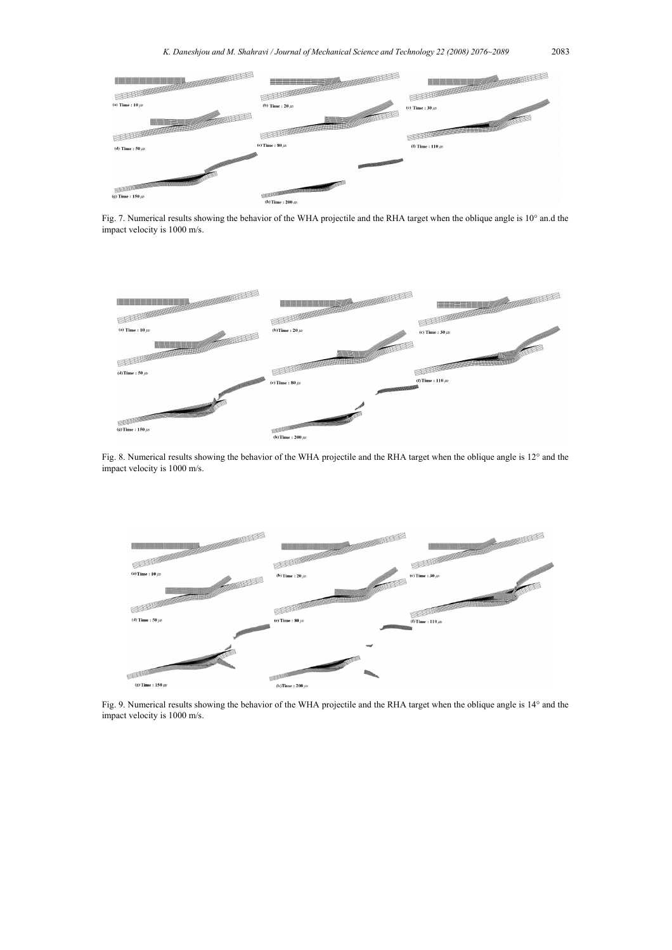

Fig. 7. Numerical results showing the behavior of the WHA projectile and the RHA target when the oblique angle is 10° an.d the impact velocity is 1000 m/s.



Fig. 8. Numerical results showing the behavior of the WHA projectile and the RHA target when the oblique angle is 12° and the impact velocity is 1000 m/s.



Fig. 9. Numerical results showing the behavior of the WHA projectile and the RHA target when the oblique angle is 14° and the impact velocity is 1000 m/s.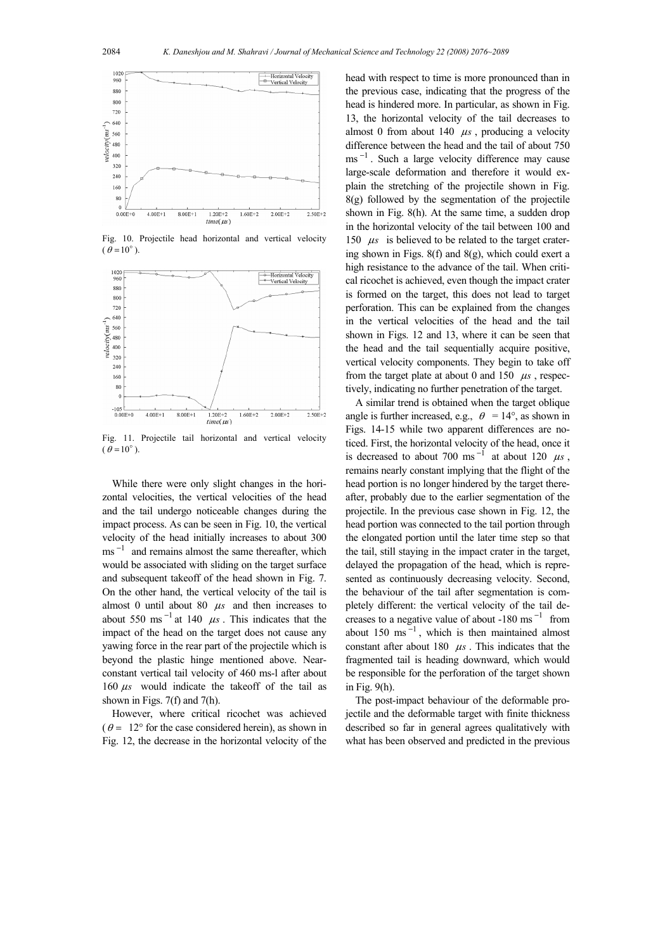

Fig. 10. Projectile head horizontal and vertical velocity  $(\theta = 10^\circ)$ .



Fig. 11. Projectile tail horizontal and vertical velocity  $(\theta = 10^{\circ})$ .

While there were only slight changes in the horizontal velocities, the vertical velocities of the head and the tail undergo noticeable changes during the impact process. As can be seen in Fig. 10, the vertical velocity of the head initially increases to about 300 ms<sup> $-1$ </sup> and remains almost the same thereafter, which would be associated with sliding on the target surface and subsequent takeoff of the head shown in Fig. 7. On the other hand, the vertical velocity of the tail is almost 0 until about 80  $\mu s$  and then increases to about 550 ms<sup> $-1$ </sup> at 140  $\mu$ s. This indicates that the impact of the head on the target does not cause any yawing force in the rear part of the projectile which is beyond the plastic hinge mentioned above. Nearconstant vertical tail velocity of 460 ms-l after about 160 <sup>µ</sup>*s* would indicate the takeoff of the tail as shown in Figs. 7(f) and 7(h).

However, where critical ricochet was achieved  $(\theta = 12^{\circ}$  for the case considered herein), as shown in Fig. 12, the decrease in the horizontal velocity of the head with respect to time is more pronounced than in the previous case, indicating that the progress of the head is hindered more. In particular, as shown in Fig. 13, the horizontal velocity of the tail decreases to almost 0 from about 140  $\mu$ s, producing a velocity difference between the head and the tail of about 750  $\text{ms}^{-1}$ . Such a large velocity difference may cause large-scale deformation and therefore it would explain the stretching of the projectile shown in Fig. 8(g) followed by the segmentation of the projectile shown in Fig. 8(h). At the same time, a sudden drop in the horizontal velocity of the tail between 100 and 150  $\mu s$  is believed to be related to the target cratering shown in Figs. 8(f) and 8(g), which could exert a high resistance to the advance of the tail. When critical ricochet is achieved, even though the impact crater is formed on the target, this does not lead to target perforation. This can be explained from the changes in the vertical velocities of the head and the tail shown in Figs. 12 and 13, where it can be seen that the head and the tail sequentially acquire positive, vertical velocity components. They begin to take off from the target plate at about 0 and  $150 \mu s$ , respectively, indicating no further penetration of the target.

A similar trend is obtained when the target oblique angle is further increased, e.g.,  $\theta = 14^{\circ}$ , as shown in Figs. 14-15 while two apparent differences are noticed. First, the horizontal velocity of the head, once it is decreased to about 700 ms<sup> $-1$ </sup> at about 120  $\mu s$ , remains nearly constant implying that the flight of the head portion is no longer hindered by the target thereafter, probably due to the earlier segmentation of the projectile. In the previous case shown in Fig. 12, the head portion was connected to the tail portion through the elongated portion until the later time step so that the tail, still staying in the impact crater in the target, delayed the propagation of the head, which is represented as continuously decreasing velocity. Second, the behaviour of the tail after segmentation is completely different: the vertical velocity of the tail decreases to a negative value of about -180 ms<sup> $-1$ </sup> from about 150 ms $^{-1}$ , which is then maintained almost constant after about  $180 \mu s$ . This indicates that the fragmented tail is heading downward, which would be responsible for the perforation of the target shown in Fig. 9(h).

The post-impact behaviour of the deformable projectile and the deformable target with finite thickness described so far in general agrees qualitatively with what has been observed and predicted in the previous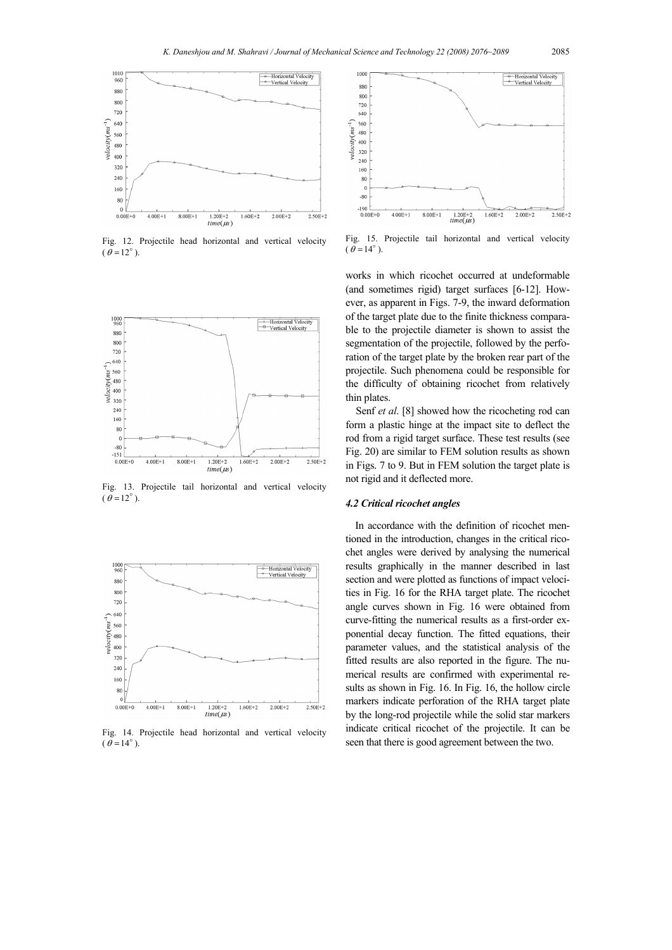

Fig. 12. Projectile head horizontal and vertical velocity  $(\theta = 12^{\circ})$ .



Fig. 13. Projectile tail horizontal and vertical velocity  $(\theta = 12^{\circ})$ 



Fig. 14. Projectile head horizontal and vertical velocity  $(\theta = 14^\circ)$ .



Fig. 15. Projectile tail horizontal and vertical velocity  $(\theta = 14^{\circ})$ .

works in which ricochet occurred at undeformable (and sometimes rigid) target surfaces [6-12]. However, as apparent in Figs. 7-9, the inward deformation of the target plate due to the finite thickness comparable to the projectile diameter is shown to assist the segmentation of the projectile, followed by the perforation of the target plate by the broken rear part of the projectile. Such phenomena could be responsible for the difficulty of obtaining ricochet from relatively thin plates.

Senf *et al*. [8] showed how the ricocheting rod can form a plastic hinge at the impact site to deflect the rod from a rigid target surface. These test results (see Fig. 20) are similar to FEM solution results as shown in Figs. 7 to 9. But in FEM solution the target plate is not rigid and it deflected more.

# *4.2 Critical ricochet angles*

In accordance with the definition of ricochet mentioned in the introduction, changes in the critical ricochet angles were derived by analysing the numerical results graphically in the manner described in last section and were plotted as functions of impact velocities in Fig. 16 for the RHA target plate. The ricochet angle curves shown in Fig. 16 were obtained from curve-fitting the numerical results as a first-order exponential decay function. The fitted equations, their parameter values, and the statistical analysis of the fitted results are also reported in the figure. The numerical results are confirmed with experimental results as shown in Fig. 16. In Fig. 16, the hollow circle markers indicate perforation of the RHA target plate by the long-rod projectile while the solid star markers indicate critical ricochet of the projectile. It can be seen that there is good agreement between the two.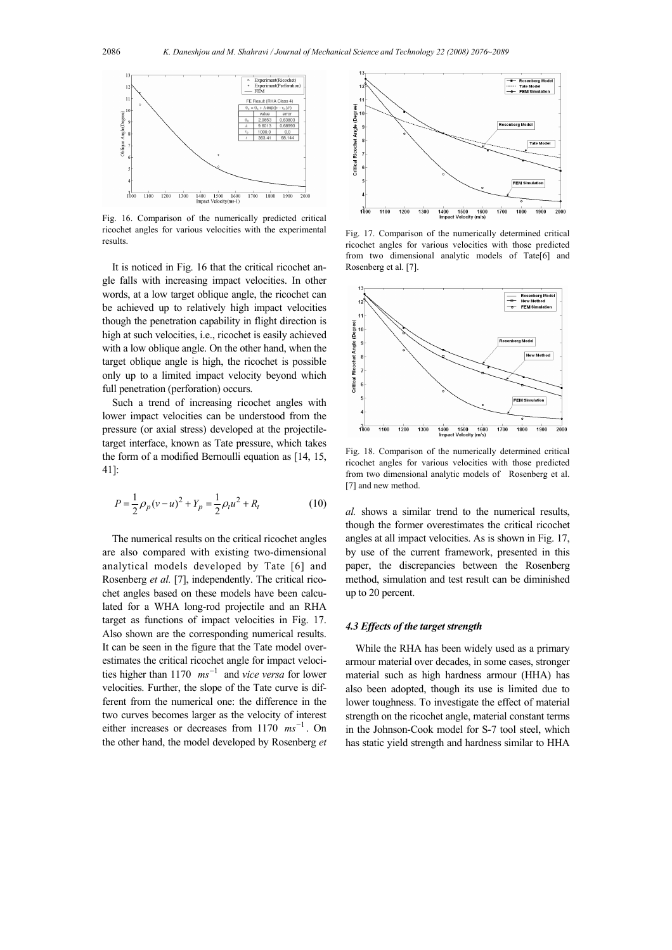

Fig. 16. Comparison of the numerically predicted critical ricochet angles for various velocities with the experimental results.

It is noticed in Fig. 16 that the critical ricochet angle falls with increasing impact velocities. In other words, at a low target oblique angle, the ricochet can be achieved up to relatively high impact velocities though the penetration capability in flight direction is high at such velocities, i.e., ricochet is easily achieved with a low oblique angle. On the other hand, when the target oblique angle is high, the ricochet is possible only up to a limited impact velocity beyond which full penetration (perforation) occurs.

Such a trend of increasing ricochet angles with lower impact velocities can be understood from the pressure (or axial stress) developed at the projectiletarget interface, known as Tate pressure, which takes the form of a modified Bernoulli equation as [14, 15, 41]:

$$
P = \frac{1}{2}\rho_p(v - u)^2 + Y_p = \frac{1}{2}\rho_t u^2 + R_t
$$
 (10)

The numerical results on the critical ricochet angles are also compared with existing two-dimensional analytical models developed by Tate [6] and Rosenberg *et al.* [7], independently. The critical ricochet angles based on these models have been calculated for a WHA long-rod projectile and an RHA target as functions of impact velocities in Fig. 17. Also shown are the corresponding numerical results. It can be seen in the figure that the Tate model overestimates the critical ricochet angle for impact velocities higher than 1170  $ms^{-1}$  and *vice versa* for lower velocities. Further, the slope of the Tate curve is different from the numerical one: the difference in the two curves becomes larger as the velocity of interest either increases or decreases from 1170  $ms^{-1}$ . On the other hand, the model developed by Rosenberg *et* 



Fig. 17. Comparison of the numerically determined critical ricochet angles for various velocities with those predicted from two dimensional analytic models of Tate[6] and Rosenberg et al. [7].



Fig. 18. Comparison of the numerically determined critical ricochet angles for various velocities with those predicted from two dimensional analytic models of Rosenberg et al. [7] and new method.

*al.* shows a similar trend to the numerical results, though the former overestimates the critical ricochet angles at all impact velocities. As is shown in Fig. 17, by use of the current framework, presented in this paper, the discrepancies between the Rosenberg method, simulation and test result can be diminished up to 20 percent.

## *4.3 Effects of the target strength*

While the RHA has been widely used as a primary armour material over decades, in some cases, stronger material such as high hardness armour (HHA) has also been adopted, though its use is limited due to lower toughness. To investigate the effect of material strength on the ricochet angle, material constant terms in the Johnson-Cook model for S-7 tool steel, which has static yield strength and hardness similar to HHA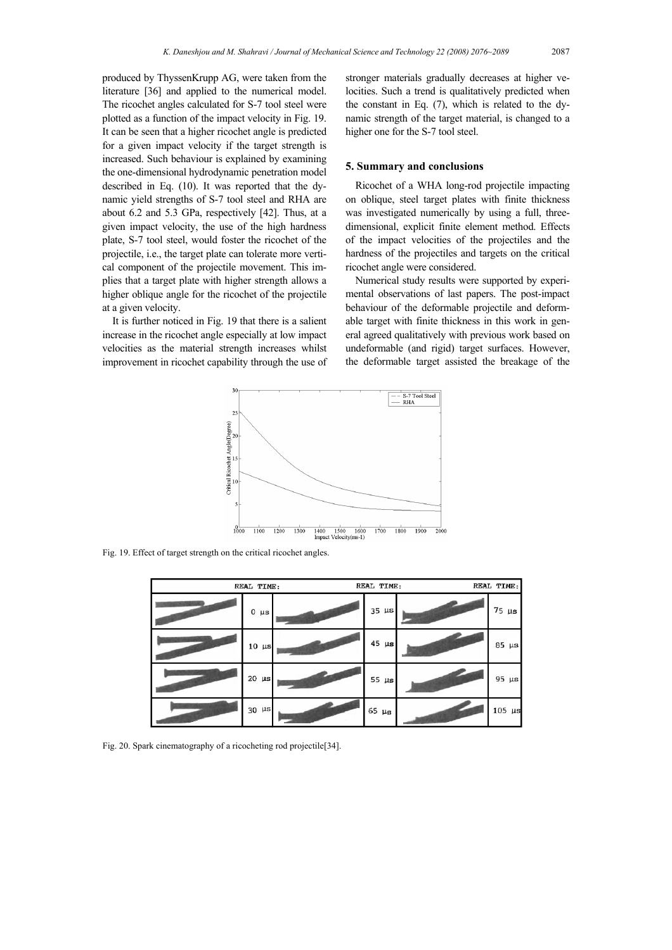produced by ThyssenKrupp AG, were taken from the literature [36] and applied to the numerical model. The ricochet angles calculated for S-7 tool steel were plotted as a function of the impact velocity in Fig. 19. It can be seen that a higher ricochet angle is predicted for a given impact velocity if the target strength is increased. Such behaviour is explained by examining the one-dimensional hydrodynamic penetration model described in Eq. (10). It was reported that the dynamic yield strengths of S-7 tool steel and RHA are about 6.2 and 5.3 GPa, respectively [42]. Thus, at a given impact velocity, the use of the high hardness plate, S-7 tool steel, would foster the ricochet of the projectile, i.e., the target plate can tolerate more vertical component of the projectile movement. This implies that a target plate with higher strength allows a higher oblique angle for the ricochet of the projectile at a given velocity.

It is further noticed in Fig. 19 that there is a salient increase in the ricochet angle especially at low impact velocities as the material strength increases whilst improvement in ricochet capability through the use of stronger materials gradually decreases at higher velocities. Such a trend is qualitatively predicted when the constant in Eq. (7), which is related to the dynamic strength of the target material, is changed to a higher one for the S-7 tool steel.

#### **5. Summary and conclusions**

Ricochet of a WHA long-rod projectile impacting on oblique, steel target plates with finite thickness was investigated numerically by using a full, threedimensional, explicit finite element method. Effects of the impact velocities of the projectiles and the hardness of the projectiles and targets on the critical ricochet angle were considered.

Numerical study results were supported by experimental observations of last papers. The post-impact behaviour of the deformable projectile and deformable target with finite thickness in this work in general agreed qualitatively with previous work based on undeformable (and rigid) target surfaces. However, the deformable target assisted the breakage of the



Fig. 19. Effect of target strength on the critical ricochet angles.

| REAL TIME: | REAL TIME:    |  |            | REAL TIME: |             |
|------------|---------------|--|------------|------------|-------------|
|            | 0<br>$\mu s$  |  | $35 \mu s$ |            | $75 \mu s$  |
|            | $10 \mu s$    |  | $45 \mu s$ |            | $85 \mu s$  |
|            | 20<br>$\mu s$ |  | 55 $\mu$ s |            | $95 \mu s$  |
|            | 30<br>$\mu s$ |  | $65 \mu s$ |            | $105 \mu s$ |

Fig. 20. Spark cinematography of a ricocheting rod projectile[34].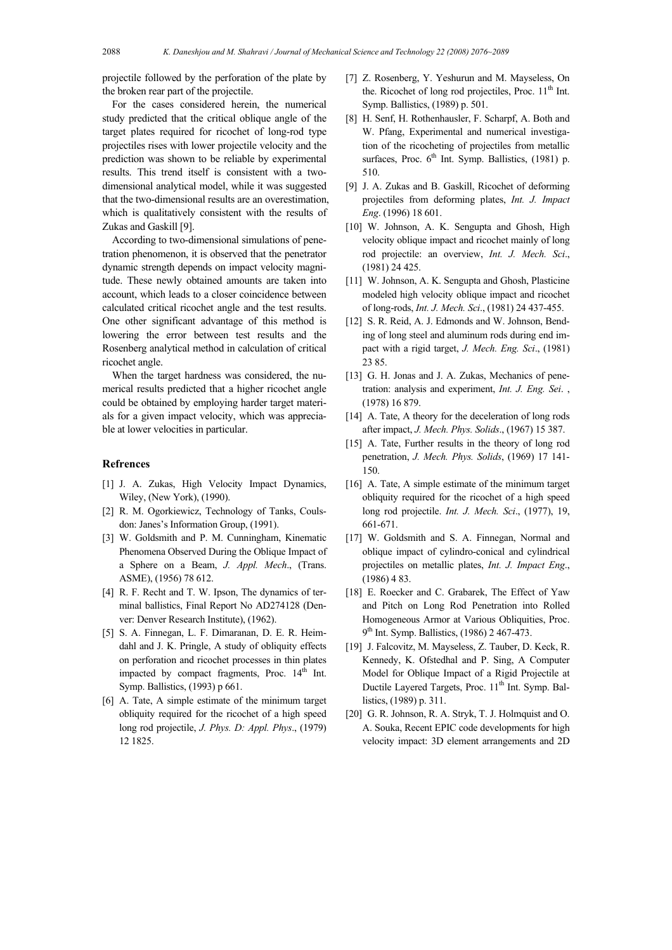projectile followed by the perforation of the plate by the broken rear part of the projectile.

For the cases considered herein, the numerical study predicted that the critical oblique angle of the target plates required for ricochet of long-rod type projectiles rises with lower projectile velocity and the prediction was shown to be reliable by experimental results. This trend itself is consistent with a twodimensional analytical model, while it was suggested that the two-dimensional results are an overestimation, which is qualitatively consistent with the results of Zukas and Gaskill [9].

According to two-dimensional simulations of penetration phenomenon, it is observed that the penetrator dynamic strength depends on impact velocity magnitude. These newly obtained amounts are taken into account, which leads to a closer coincidence between calculated critical ricochet angle and the test results. One other significant advantage of this method is lowering the error between test results and the Rosenberg analytical method in calculation of critical ricochet angle.

When the target hardness was considered, the numerical results predicted that a higher ricochet angle could be obtained by employing harder target materials for a given impact velocity, which was appreciable at lower velocities in particular.

# **Refrences**

- [1] J. A. Zukas, High Velocity Impact Dynamics, Wiley, (New York), (1990).
- [2] R. M. Ogorkiewicz, Technology of Tanks, Coulsdon: Janes's Information Group, (1991).
- [3] W. Goldsmith and P. M. Cunningham, Kinematic Phenomena Observed During the Oblique Impact of a Sphere on a Beam, *J. Appl. Mech*., (Trans. ASME), (1956) 78 612.
- [4] R. F. Recht and T. W. Ipson, The dynamics of terminal ballistics, Final Report No AD274128 (Denver: Denver Research Institute), (1962).
- [5] S. A. Finnegan, L. F. Dimaranan, D. E. R. Heimdahl and J. K. Pringle, A study of obliquity effects on perforation and ricochet processes in thin plates impacted by compact fragments, Proc. 14<sup>th</sup> Int. Symp. Ballistics, (1993) p 661.
- [6] A. Tate, A simple estimate of the minimum target obliquity required for the ricochet of a high speed long rod projectile, *J. Phys. D: Appl. Phys*., (1979) 12 1825.
- [7] Z. Rosenberg, Y. Yeshurun and M. Mayseless, On the. Ricochet of long rod projectiles, Proc.  $11<sup>th</sup>$  Int. Symp. Ballistics, (1989) p. 501.
- [8] H. Senf, H. Rothenhausler, F. Scharpf, A. Both and W. Pfang, Experimental and numerical investigation of the ricocheting of projectiles from metallic surfaces, Proc.  $6<sup>th</sup>$  Int. Symp. Ballistics, (1981) p. 510.
- [9] J. A. Zukas and B. Gaskill, Ricochet of deforming projectiles from deforming plates, *Int. J. Impact Eng*. (1996) 18 601.
- [10] W. Johnson, A. K. Sengupta and Ghosh, High velocity oblique impact and ricochet mainly of long rod projectile: an overview, *Int. J. Mech. Sci*., (1981) 24 425.
- [11] W. Johnson, A. K. Sengupta and Ghosh, Plasticine modeled high velocity oblique impact and ricochet of long-rods, *Int. J. Mech. Sci*., (1981) 24 437-455.
- [12] S. R. Reid, A. J. Edmonds and W. Johnson, Bending of long steel and aluminum rods during end impact with a rigid target, *J. Mech. Eng. Sci*., (1981) 23 85.
- [13] G. H. Jonas and J. A. Zukas, Mechanics of penetration: analysis and experiment, *Int. J. Eng. Sei*. , (1978) 16 879.
- [14] A. Tate, A theory for the deceleration of long rods after impact, *J. Mech. Phys. Solids*., (1967) 15 387.
- [15] A. Tate, Further results in the theory of long rod penetration, *J. Mech. Phys. Solids*, (1969) 17 141- 150.
- [16] A. Tate, A simple estimate of the minimum target obliquity required for the ricochet of a high speed long rod projectile. *Int. J. Mech. Sci*., (1977), 19, 661-671.
- [17] W. Goldsmith and S. A. Finnegan, Normal and oblique impact of cylindro-conical and cylindrical projectiles on metallic plates, *Int. J. Impact Eng*., (1986) 4 83.
- [18] E. Roecker and C. Grabarek, The Effect of Yaw and Pitch on Long Rod Penetration into Rolled Homogeneous Armor at Various Obliquities, Proc. 9<sup>th</sup> Int. Symp. Ballistics, (1986) 2 467-473.
- [19] J. Falcovitz, M. Mayseless, Z. Tauber, D. Keck, R. Kennedy, K. Ofstedhal and P. Sing, A Computer Model for Oblique Impact of a Rigid Projectile at Ductile Layered Targets, Proc.  $11<sup>th</sup>$  Int. Symp. Ballistics, (1989) p. 311.
- [20] G. R. Johnson, R. A. Stryk, T. J. Holmquist and O. A. Souka, Recent EPIC code developments for high velocity impact: 3D element arrangements and 2D